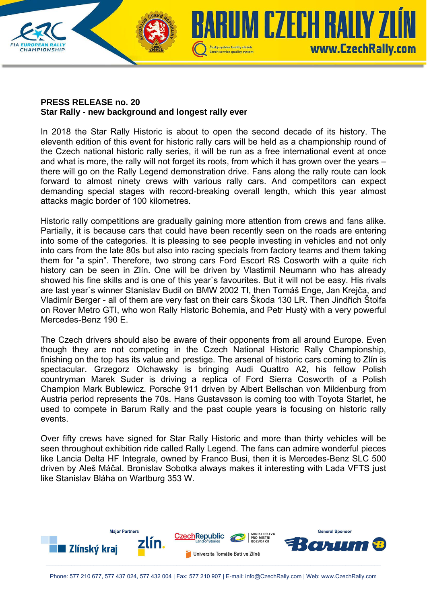## **PRESS RELEASE no. 20 Star Rally - new background and longest rally ever**

**CHAMPIONSHIP** 

In 2018 the Star Rally Historic is about to open the second decade of its history. The eleventh edition of this event for historic rally cars will be held as a championship round of the Czech national historic rally series, it will be run as a free international event at once and what is more, the rally will not forget its roots, from which it has grown over the years – there will go on the Rally Legend demonstration drive. Fans along the rally route can look forward to almost ninety crews with various rally cars. And competitors can expect demanding special stages with record-breaking overall length, which this year almost attacks magic border of 100 kilometres.

Czech service quality system

UM CZECH RALIY ZI

www.CzechRally.com

Historic rally competitions are gradually gaining more attention from crews and fans alike. Partially, it is because cars that could have been recently seen on the roads are entering into some of the categories. It is pleasing to see people investing in vehicles and not only into cars from the late 80s but also into racing specials from factory teams and them taking them for "a spin". Therefore, two strong cars Ford Escort RS Cosworth with a quite rich history can be seen in Zlín. One will be driven by Vlastimil Neumann who has already showed his fine skills and is one of this year`s favourites. But it will not be easy. His rivals are last year`s winner Stanislav Budil on BMW 2002 TI, then Tomáš Enge, Jan Krejča, and Vladimír Berger - all of them are very fast on their cars Škoda 130 LR. Then Jindřich Štolfa on Rover Metro GTI, who won Rally Historic Bohemia, and Petr Hustý with a very powerful Mercedes-Benz 190 E.

The Czech drivers should also be aware of their opponents from all around Europe. Even though they are not competing in the Czech National Historic Rally Championship, finishing on the top has its value and prestige. The arsenal of historic cars coming to Zlín is spectacular. Grzegorz Olchawsky is bringing Audi Quattro A2, his fellow Polish countryman Marek Suder is driving a replica of Ford Sierra Cosworth of a Polish Champion Mark Bublewicz. Porsche 911 driven by Albert Bellschan von Mildenburg from Austria period represents the 70s. Hans Gustavsson is coming too with Toyota Starlet, he used to compete in Barum Rally and the past couple years is focusing on historic rally events.

Over fifty crews have signed for Star Rally Historic and more than thirty vehicles will be seen throughout exhibition ride called Rally Legend. The fans can admire wonderful pieces like Lancia Delta HF Integrale, owned by Franco Busi, then it is Mercedes-Benz SLC 500 driven by Aleš Máčal. Bronislav Sobotka always makes it interesting with Lada VFTS just like Stanislav Bláha on Wartburg 353 W.